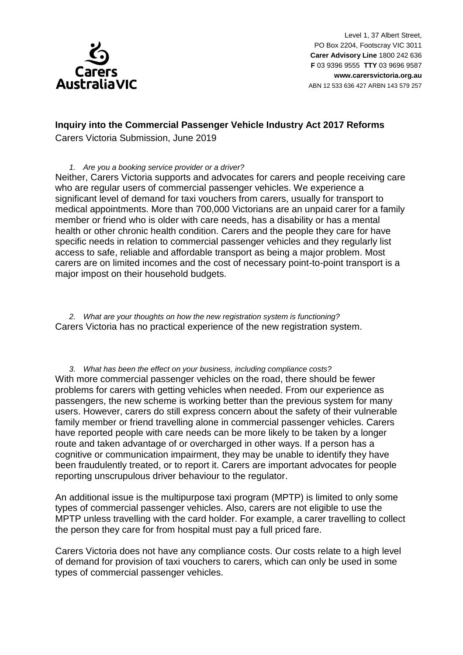

## **Inquiry into the Commercial Passenger Vehicle Industry Act 2017 Reforms**

Carers Victoria Submission, June 2019

## *1. Are you a booking service provider or a driver?*

Neither, Carers Victoria supports and advocates for carers and people receiving care who are regular users of commercial passenger vehicles. We experience a significant level of demand for taxi vouchers from carers, usually for transport to medical appointments. More than 700,000 Victorians are an unpaid carer for a family member or friend who is older with care needs, has a disability or has a mental health or other chronic health condition. Carers and the people they care for have specific needs in relation to commercial passenger vehicles and they regularly list access to safe, reliable and affordable transport as being a major problem. Most carers are on limited incomes and the cost of necessary point-to-point transport is a major impost on their household budgets.

*2. What are your thoughts on how the new registration system is functioning?* Carers Victoria has no practical experience of the new registration system.

*3. What has been the effect on your business, including compliance costs?* With more commercial passenger vehicles on the road, there should be fewer problems for carers with getting vehicles when needed. From our experience as passengers, the new scheme is working better than the previous system for many users. However, carers do still express concern about the safety of their vulnerable family member or friend travelling alone in commercial passenger vehicles. Carers have reported people with care needs can be more likely to be taken by a longer route and taken advantage of or overcharged in other ways. If a person has a cognitive or communication impairment, they may be unable to identify they have been fraudulently treated, or to report it. Carers are important advocates for people reporting unscrupulous driver behaviour to the regulator.

An additional issue is the multipurpose taxi program (MPTP) is limited to only some types of commercial passenger vehicles. Also, carers are not eligible to use the MPTP unless travelling with the card holder. For example, a carer travelling to collect the person they care for from hospital must pay a full priced fare.

Carers Victoria does not have any compliance costs. Our costs relate to a high level of demand for provision of taxi vouchers to carers, which can only be used in some types of commercial passenger vehicles.